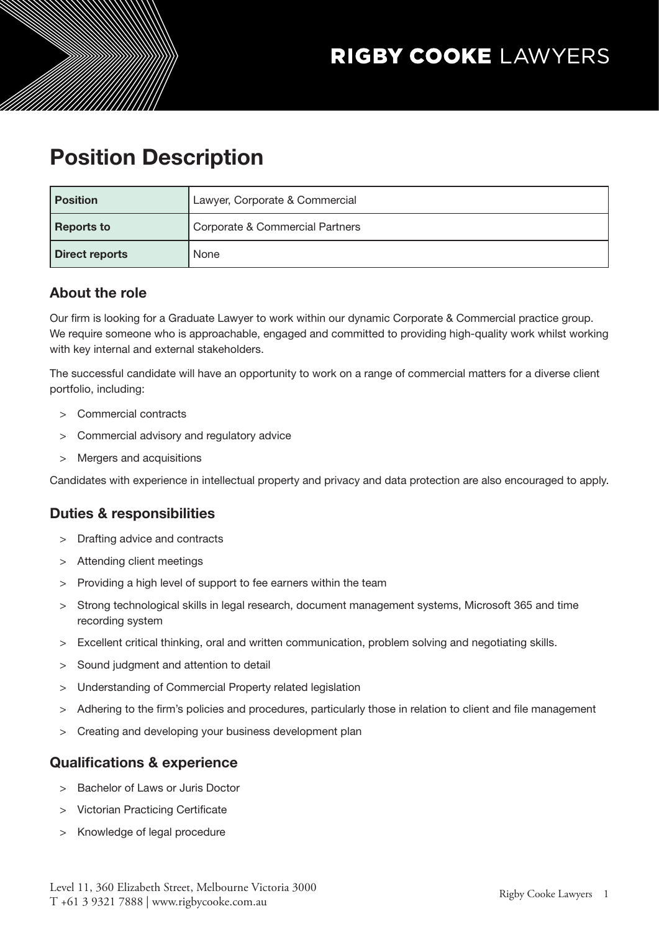# Position Description

| <b>Position</b>       | Lawyer, Corporate & Commercial  |
|-----------------------|---------------------------------|
| <b>Reports to</b>     | Corporate & Commercial Partners |
| <b>Direct reports</b> | None                            |

## About the role

Our firm is looking for a Graduate Lawyer to work within our dynamic Corporate & Commercial practice group. We require someone who is approachable, engaged and committed to providing high-quality work whilst working with key internal and external stakeholders.

The successful candidate will have an opportunity to work on a range of commercial matters for a diverse client portfolio, including:

- > Commercial contracts
- > Commercial advisory and regulatory advice
- > Mergers and acquisitions

Candidates with experience in intellectual property and privacy and data protection are also encouraged to apply.

### Duties & responsibilities

- > Drafting advice and contracts
- Attending client meetings
- > Providing a high level of support to fee earners within the team
- > Strong technological skills in legal research, document management systems, Microsoft 365 and time recording system
- > Excellent critical thinking, oral and written communication, problem solving and negotiating skills.
- > Sound judgment and attention to detail
- > Understanding of Commercial Property related legislation
- > Adhering to the firm's policies and procedures, particularly those in relation to client and file management
- > Creating and developing your business development plan

## Qualifications & experience

- > Bachelor of Laws or Juris Doctor
- > Victorian Practicing Certificate
- > Knowledge of legal procedure